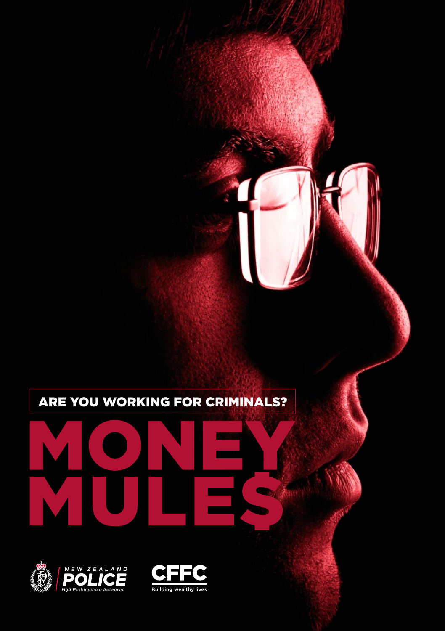## ARE YOU WORKING FOR CRIMINALS?



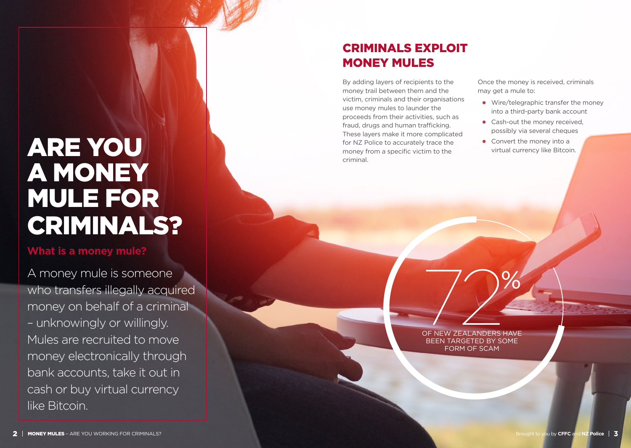## ARE YOU A MONEY MULE FOR CRIMINALS?

#### **What is a money mule?**

A money mule is someone who transfers illegally acquired money on behalf of a criminal – unknowingly or willingly. Mules are recruited to move money electronically through bank accounts, take it out in cash or buy virtual currency like Bitcoin.

## CRIMINALS EXPLOIT MONEY MULES

By adding layers of recipients to the money trail between them and the victim, criminals and their organisations use money mules to launder the proceeds from their activities, such as fraud, drugs and human trafficking. These layers make it more complicated for NZ Police to accurately trace the money from a specific victim to the criminal.

Once the money is received, criminals may get a mule to:

- **•** Wire/telegraphic transfer the money into a third-party bank account
- **•** Cash-out the money received, possibly via several cheques
- **•** Convert the money into a virtual currency like Bitcoin.

OF NEW ZEALANDERS HAVE BEEN TARGETED BY SOME FORM OF SCAM OF NEW ZEALANDERS HAVE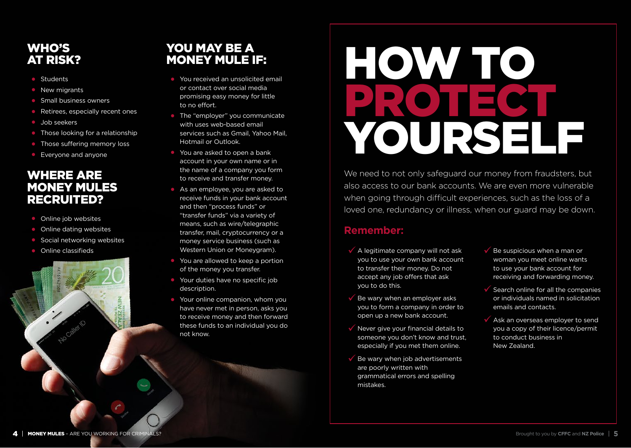## WHO'S AT RISK?

- **•** Students
- **•** New migrants
- **•** Small business owners
- **•** Retirees, especially recent ones
- **•** Job seekers
- **•** Those looking for a relationship
- **•** Those suffering memory loss
- **•** Everyone and anyone

## WHERE ARE MONEY MULES RECRUITED?

- **•** Online job websites
- **•** Online dating websites
- **•** Social networking websites
- **•** Online classifieds

## YOU MAY BE A MONEY MULE IF:

- **•** You received an unsolicited email or contact over social media promising easy money for little to no effort.
- **•** The "employer" you communicate with uses web-based email services such as Gmail, Yahoo Mail, Hotmail or Outlook.
- **•** You are asked to open a bank account in your own name or in the name of a company you form to receive and transfer money.
- **•** As an employee, you are asked to receive funds in your bank account and then "process funds" or "transfer funds" via a variety of means, such as wire/telegraphic transfer, mail, cryptocurrency or a money service business (such as Western Union or Moneygram).
- **•** You are allowed to keep a portion of the money you transfer.
- **•** Your duties have no specific job description.
- **•** Your online companion, whom you have never met in person, asks you to receive money and then forward these funds to an individual you do not know.

# HOW TO PROTECT YOURSELF

We need to not only safeguard our money from fraudsters, but also access to our bank accounts. We are even more vulnerable when going through difficult experiences, such as the loss of a loved one, redundancy or illness, when our guard may be down.

## **Remember:**

- $\checkmark$  A legitimate company will not ask you to use your own bank account to transfer their money. Do not accept any job offers that ask you to do this.
- $\checkmark$  Be wary when an employer asks you to form a company in order to open up a new bank account.
- $\sqrt{\ }$  Never give your financial details to someone you don't know and trust, especially if you met them online.
- Be wary when job advertisements are poorly written with grammatical errors and spelling mistakes.
- Be suspicious when a man or woman you meet online wants to use your bank account for receiving and forwarding money.
- $\checkmark$  Search online for all the companies or individuals named in solicitation emails and contacts.
- Ask an overseas employer to send you a copy of their licence/permit to conduct business in New Zealand.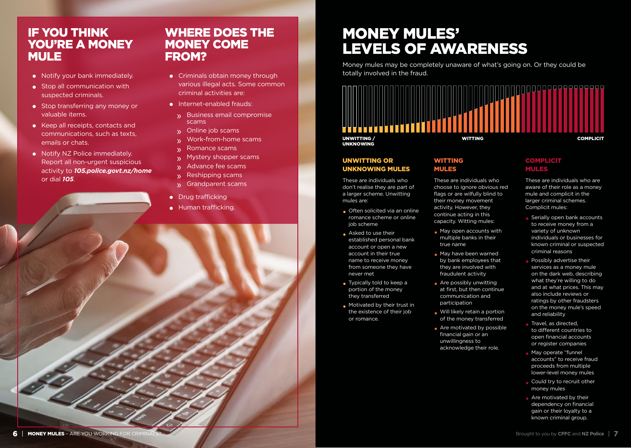## IF YOU THINK YOU'RE A MONEY MULE

- **•** Notify your bank immediately.
- **•** Stop all communication with suspected criminals.
- **•** Stop transferring any money or valuable items.
- **•** Keep all receipts, contacts and communications, such as texts, emails or chats.
- **•** Notify NZ Police immediately. Report all non-urgent suspicious activity to *105.police.govt.nz/home* or dial *105*.

### WHERE DOES THE MONEY COME FROM?

- **•** Criminals obtain money through various illegal acts. Some common criminal activities are:
- **•** Internet-enabled frauds:
	- » Business email compromise scams
	- » Online job scams
	- » Work-from-home scams
	- » Romance scams
	- » Mystery shopper scams
	- » Advance fee scams<br>» Reshipping scams
	- » Reshipping scams
	- » Grandparent scams
- **•** Drug trafficking
- **•** Human trafficking.

## MONEY MULES' LEVELS OF AWARENESS

Money mules may be completely unaware of what's going on. Or they could be totally involved in the fraud.



#### UNWITTING OR UNKNOWING MULES

These are individuals who don't realise they are part of a larger scheme. Unwitting mules are:

- **•** Often solicited via an online romance scheme or online job scheme
- **•** Asked to use their established personal bank account or open a new account in their true name to receive money from someone they have never met
- **•** Typically told to keep a portion of the money they transferred
- **•** Motivated by their trust in the existence of their job or romance.

#### WITTING MULES

These are individuals who choose to ignore obvious red flags or are wilfully blind to their money movement activity. However, they continue acting in this capacity. Witting mules:

- **•** May open accounts with multiple banks in their true name
- **•** May have been warned by bank employees that they are involved with fraudulent activity
- **•** Are possibly unwitting at first, but then continue communication and participation
- **•** Will likely retain a portion of the money transferred
- **•** Are motivated by possible financial gain or an unwillingness to acknowledge their role.

#### **COMPLICIT** MULES

These are individuals who are aware of their role as a money mule and complicit in the larger criminal schemes. Complicit mules:

- **•** Serially open bank accounts to receive money from a variety of unknown individuals or businesses for known criminal or suspected criminal reasons
- **•** Possibly advertise their services as a money mule on the dark web, describing what they're willing to do and at what prices. This may also include reviews or ratings by other fraudsters on the money mule's speed and reliability
- **•** Travel, as directed, to different countries to open financial accounts or register companies
- **•** May operate "funnel accounts" to receive fraud proceeds from multiple lower-level money mules
- **•** Could try to recruit other money mules
- **•** Are motivated by their dependency on financial gain or their loyalty to a known criminal group.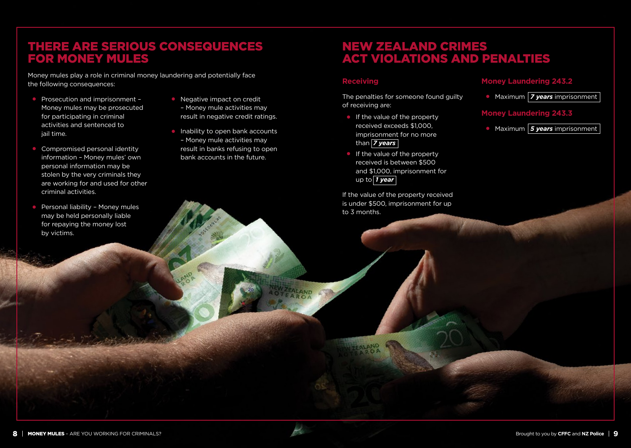## THERE ARE SERIOUS CONSEQUENCES FOR MONEY MULES

Money mules play a role in criminal money laundering and potentially face the following consequences:

- **•** Prosecution and imprisonment Money mules may be prosecuted for participating in criminal activities and sentenced to iail time.
- **•** Compromised personal identity information – Money mules' own personal information may be stolen by the very criminals they are working for and used for other criminal activities.
- **•** Personal liability Money mules may be held personally liable for repaying the money lost by victims.
- **•** Negative impact on credit – Money mule activities may result in negative credit ratings.
- **•** Inability to open bank accounts – Money mule activities may result in banks refusing to open bank accounts in the future.

## NEW ZEALAND CRIMES ACT VIOLATIONS AND PENALTIES

#### **Receiving**

FALAND

The penalties for someone found guilty of receiving are:

- **•** If the value of the property received exceeds \$1,000, imprisonment for no more than *7 years*
- **•** If the value of the property received is between \$500 and \$1,000, imprisonment for up to *1 year*

If the value of the property received is under \$500, imprisonment for up to 3 months.

#### **Money Laundering 243.2**

**•** Maximum *7 years* imprisonment

#### **Money Laundering 243.3**

**•** Maximum *5 years* imprisonment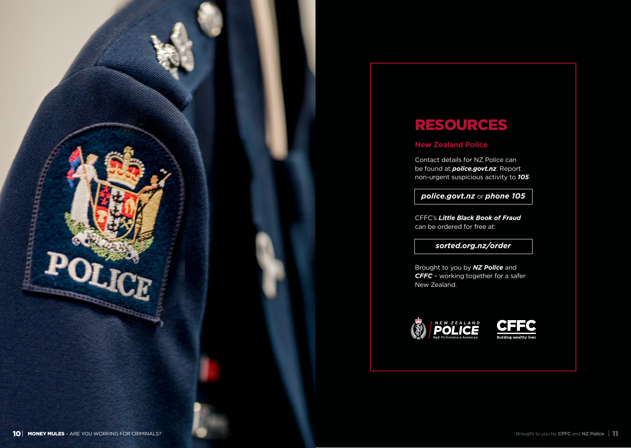

## RESOURCES

#### **New Zealand Police**

Contact details for NZ Police can be found at *police.govt.nz*. Report non-urgent suspicious activity to *105* .

*police.govt.nz* or *phone 105*

CFFC's *Little Black Book of Fraud* can be ordered for free at:

#### *sorted.org.nz/order*

Brought to you by *NZ Police* and *CFFC* – working together for a safer New Zealand.